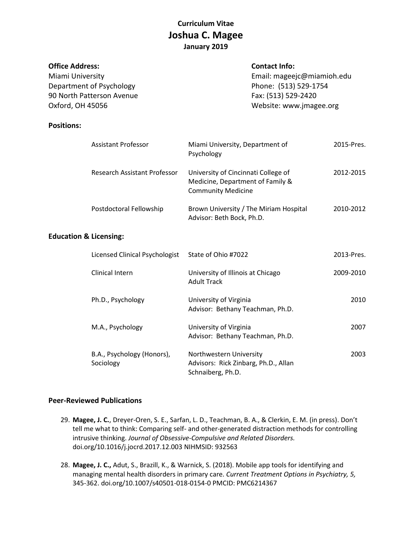# **Curriculum Vitae Joshua C. Magee January 2019**

| <b>Office Address:</b>    | <b>Contact Info:</b>       |
|---------------------------|----------------------------|
| Miami University          | Email: mageejc@miamioh.edu |
| Department of Psychology  | Phone: (513) 529-1754      |
| 90 North Patterson Avenue | Fax: (513) 529-2420        |
| Oxford, OH 45056          | Website: www.jmagee.org    |
|                           |                            |

### **Positions:**

| <b>Assistant Professor</b>     | Miami University, Department of<br>Psychology                                                        | 2015-Pres. |
|--------------------------------|------------------------------------------------------------------------------------------------------|------------|
| Research Assistant Professor   | University of Cincinnati College of<br>Medicine, Department of Family &<br><b>Community Medicine</b> | 2012-2015  |
| Postdoctoral Fellowship        | Brown University / The Miriam Hospital<br>Advisor: Beth Bock, Ph.D.                                  | 2010-2012  |
| d Licensing:                   |                                                                                                      |            |
| Licensed Clinical Psychologist | State of Ohio #7022                                                                                  | 2013-Pres. |
| Clinical Intern                | University of Illinois at Chicago                                                                    | 2009-2010  |

# **Education &**

| Licensed Clinical Psychologist          | State of Ohio #7022                                                                  | 2013-Pres. |
|-----------------------------------------|--------------------------------------------------------------------------------------|------------|
| Clinical Intern                         | University of Illinois at Chicago<br><b>Adult Track</b>                              | 2009-2010  |
| Ph.D., Psychology                       | University of Virginia<br>Advisor: Bethany Teachman, Ph.D.                           | 2010       |
| M.A., Psychology                        | University of Virginia<br>Advisor: Bethany Teachman, Ph.D.                           | 2007       |
| B.A., Psychology (Honors),<br>Sociology | Northwestern University<br>Advisors: Rick Zinbarg, Ph.D., Allan<br>Schnaiberg, Ph.D. | 2003       |

#### **Peer-Reviewed Publications**

- 29. **Magee, J. C.**, Dreyer-Oren, S. E., Sarfan, L. D., Teachman, B. A., & Clerkin, E. M. (in press). Don't tell me what to think: Comparing self- and other-generated distraction methods for controlling intrusive thinking. *Journal of Obsessive-Compulsive and Related Disorders.*  doi.org/10.1016/j.jocrd.2017.12.003 NIHMSID: 932563
- 28. **Magee, J. C.,** Adut, S., Brazill, K., & Warnick, S. (2018). Mobile app tools for identifying and managing mental health disorders in primary care. *Current Treatment Options in Psychiatry, 5,*  345-362. doi.org/10.1007/s40501-018-0154-0 PMCID: PMC6214367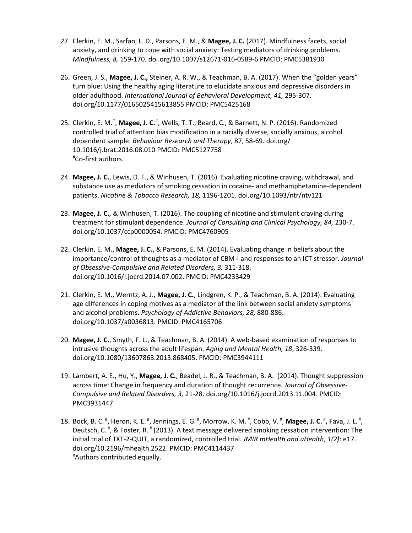- 27. Clerkin, E. M., Sarfan, L. D., Parsons, E. M., & **Magee, J. C.** (2017). Mindfulness facets, social anxiety, and drinking to cope with social anxiety: Testing mediators of drinking problems. *Mindfulness, 8,* 159-170*.* doi.org/10.1007/s12671-016-0589-6 PMCID: PMC5381930
- 26. Green, J. S., **Magee, J. C.,** Steiner, A. R. W., & Teachman, B. A. (2017). When the "golden years" turn blue: Using the healthy aging literature to elucidate anxious and depressive disorders in older adulthood. *International Journal of Behavioral Development, 41,* 295-307. doi.org/10.1177/0165025415613855 PMCID: PMC5425168
- 25. Clerkin, E. M.<sup>#</sup>, **Magee, J. C.**<sup>#</sup>, Wells, T. T., Beard, C., & Barnett, N. P. (2016). Randomized controlled trial of attention bias modification in a racially diverse, socially anxious, alcohol dependent sample. *Behaviour Research and Therapy*, 87, 58-69. doi.org/ 10.1016/j.brat.2016.08.010 PMCID: PMC5127758 #Co-first authors.
- 24. **Magee, J. C.**, Lewis, D. F., & Winhusen, T. (2016). Evaluating nicotine craving, withdrawal, and substance use as mediators of smoking cessation in cocaine- and methamphetamine-dependent patients. *Nicotine & Tobacco Research, 18,* 1196-1201. doi.org/10.1093/ntr/ntv121
- 23. **Magee, J. C.**, & Winhusen, T. (2016). The coupling of nicotine and stimulant craving during treatment for stimulant dependence. *Journal of Consulting and Clinical Psychology, 84,* 230-7. doi.org/10.1037/ccp0000054. PMCID: PMC4760905
- 22. Clerkin, E. M., **Magee, J. C.**, & Parsons, E. M. (2014). Evaluating change in beliefs about the importance/control of thoughts as a mediator of CBM-I and responses to an ICT stressor. *Journal of Obsessive-Compulsive and Related Disorders, 3,* 311-318. doi.org/10.1016/j.jocrd.2014.07.002. PMCID: PMC4233429
- 21. Clerkin, E. M., Werntz, A. J., **Magee, J. C.**, Lindgren, K. P., & Teachman, B. A. (2014). Evaluating age differences in coping motives as a mediator of the link between social anxiety symptoms and alcohol problems. *Psychology of Addictive Behaviors, 28,* 880-886. doi.org/10.1037/a0036813. PMCID: PMC4165706
- 20. **Magee, J. C.**, Smyth, F. L., & Teachman, B. A. (2014). A web-based examination of responses to intrusive thoughts across the adult lifespan. *Aging and Mental Health, 18*, 326-339. doi.org/10.1080/13607863.2013.868405. PMCID: PMC3944111
- 19. Lambert, A. E., Hu, Y., **Magee, J. C.**, Beadel, J. R., & Teachman, B. A. (2014). Thought suppression across time: Change in frequency and duration of thought recurrence*. Journal of Obsessive-Compulsive and Related Disorders, 3,* 21-28. doi.org/10.1016/j.jocrd.2013.11.004. PMCID: PMC3931447
- 18. Bock, B. C. <sup>#</sup>, Heron, K. E. <sup>#</sup>, Jennings, E. G. <sup>#</sup>, Morrow, K. M. <sup>#</sup>, Cobb, V. <sup>#</sup>, **Magee, J. C.** #, Fava, J. L. #, Deutsch, C.<sup>#</sup>, & Foster, R.<sup>#</sup> (2013). A text message delivered smoking cessation intervention: The initial trial of TXT-2-QUIT, a randomized, controlled trial. *JMIR mHealth and uHealth*, *1(2)*: e17. doi.org/10.2196/mhealth.2522. PMCID: PMC4114437 #Authors contributed equally.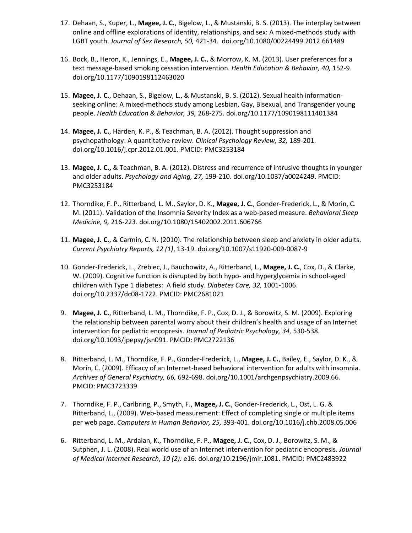- 17. Dehaan, S., Kuper, L., **Magee, J. C.**, Bigelow, L., & Mustanski, B. S. (2013). The interplay between online and offline explorations of identity, relationships, and sex: A mixed-methods study with LGBT youth. *Journal of Sex Research, 50,* 421-34. doi.org/10.1080/00224499.2012.661489
- 16. Bock, B., Heron, K., Jennings, E., **Magee, J. C.**, & Morrow, K. M. (2013). User preferences for a text message-based smoking cessation intervention. *Health Education & Behavior, 40,* 152-9. doi.org/10.1177/1090198112463020
- 15. **Magee, J. C.**, Dehaan, S., Bigelow, L., & Mustanski, B. S. (2012). Sexual health informationseeking online: A mixed-methods study among Lesbian, Gay, Bisexual, and Transgender young people. *Health Education & Behavior, 39,* 268-275. doi.org/10.1177/1090198111401384
- 14. **Magee, J. C.**, Harden, K. P., & Teachman, B. A. (2012). Thought suppression and psychopathology: A quantitative review. *Clinical Psychology Review, 32,* 189-201. doi.org/10.1016/j.cpr.2012.01.001. PMCID: PMC3253184
- 13. **Magee, J. C.,** & Teachman, B. A. (2012). Distress and recurrence of intrusive thoughts in younger and older adults. *Psychology and Aging, 27,* 199-210. doi.org/10.1037/a0024249. PMCID: PMC3253184
- 12. Thorndike, F. P., Ritterband, L. M., Saylor, D. K., **Magee, J. C.**, Gonder-Frederick, L., & Morin, C. M. (2011). Validation of the Insomnia Severity Index as a web-based measure. *Behavioral Sleep Medicine, 9,* 216-223. doi.org/10.1080/15402002.2011.606766
- 11. **Magee, J. C.**, & Carmin, C. N. (2010). The relationship between sleep and anxiety in older adults. *Current Psychiatry Reports, 12 (1)*, 13-19. doi.org/10.1007/s11920-009-0087-9
- 10. Gonder-Frederick, L., Zrebiec, J., Bauchowitz, A., Ritterband, L., **Magee, J. C.**, Cox, D., & Clarke, W. (2009). Cognitive function is disrupted by both hypo- and hyperglycemia in school-aged children with Type 1 diabetes: A field study. *Diabetes Care, 32,* 1001-1006. doi.org/10.2337/dc08-1722. PMCID: PMC2681021
- 9. **Magee, J. C.**, Ritterband, L. M., Thorndike, F. P., Cox, D. J., & Borowitz, S. M. (2009). Exploring the relationship between parental worry about their children's health and usage of an Internet intervention for pediatric encopresis. *Journal of Pediatric Psychology, 34,* 530-538. doi.org/10.1093/jpepsy/jsn091. PMCID: PMC2722136
- 8. Ritterband, L. M., Thorndike, F. P., Gonder-Frederick, L., **Magee, J. C.**, Bailey, E., Saylor, D. K., & Morin, C. (2009). Efficacy of an Internet-based behavioral intervention for adults with insomnia. *Archives of General Psychiatry, 66,* 692-698. doi.org/10.1001/archgenpsychiatry.2009.66. PMCID: PMC3723339
- 7. Thorndike, F. P., Carlbring, P., Smyth, F., **Magee, J. C.**, Gonder-Frederick, L., Ost, L. G. & Ritterband, L., (2009). Web-based measurement: Effect of completing single or multiple items per web page. *Computers in Human Behavior, 25,* 393-401. doi.org/10.1016/j.chb.2008.05.006
- 6. Ritterband, L. M., Ardalan, K., Thorndike, F. P., **Magee, J. C.**, Cox, D. J., Borowitz, S. M., & Sutphen, J. L. (2008). Real world use of an Internet intervention for pediatric encopresis. *Journal of Medical Internet Research*, *10 (2):* e16. doi.org/10.2196/jmir.1081. PMCID: PMC2483922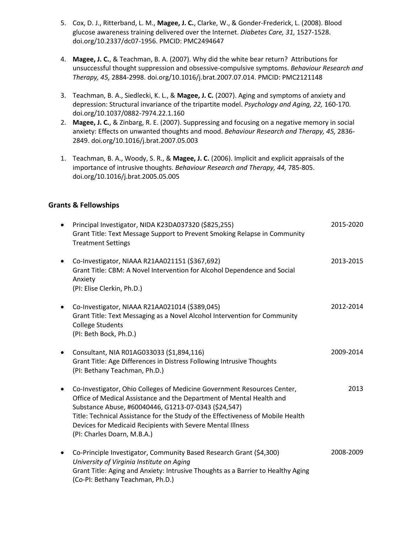- 5. Cox, D. J., Ritterband, L. M., **Magee, J. C.**, Clarke, W., & Gonder-Frederick, L. (2008). Blood glucose awareness training delivered over the Internet. *Diabetes Care, 31,* 1527-1528. doi.org/10.2337/dc07-1956. PMCID: PMC2494647
- 4. **Magee, J. C.**, & Teachman, B. A. (2007). Why did the white bear return? Attributions for unsuccessful thought suppression and obsessive-compulsive symptoms. *Behaviour Research and Therapy, 45,* 2884-2998. doi.org/10.1016/j.brat.2007.07.014. PMCID: PMC2121148
- 3. Teachman, B. A., Siedlecki, K. L., & **Magee, J. C.** (2007). Aging and symptoms of anxiety and depression: Structural invariance of the tripartite model. *Psychology and Aging, 22,* 160-170*.* doi.org/10.1037/0882-7974.22.1.160
- 2. **Magee, J. C.**, & Zinbarg, R. E. (2007). Suppressing and focusing on a negative memory in social anxiety: Effects on unwanted thoughts and mood. *Behaviour Research and Therapy, 45,* 2836- 2849. doi.org/10.1016/j.brat.2007.05.003
- 1. Teachman, B. A., Woody, S. R., & **Magee, J. C.** (2006). Implicit and explicit appraisals of the importance of intrusive thoughts. *Behaviour Research and Therapy, 44,* 785-805. doi.org/10.1016/j.brat.2005.05.005

# **Grants & Fellowships**

| $\bullet$ | Principal Investigator, NIDA K23DA037320 (\$825,255)<br>Grant Title: Text Message Support to Prevent Smoking Relapse in Community<br><b>Treatment Settings</b>                                                                                                                                                                                                                          | 2015-2020 |
|-----------|-----------------------------------------------------------------------------------------------------------------------------------------------------------------------------------------------------------------------------------------------------------------------------------------------------------------------------------------------------------------------------------------|-----------|
| $\bullet$ | Co-Investigator, NIAAA R21AA021151 (\$367,692)<br>Grant Title: CBM: A Novel Intervention for Alcohol Dependence and Social<br>Anxiety<br>(PI: Elise Clerkin, Ph.D.)                                                                                                                                                                                                                     | 2013-2015 |
| ٠         | Co-Investigator, NIAAA R21AA021014 (\$389,045)<br>Grant Title: Text Messaging as a Novel Alcohol Intervention for Community<br><b>College Students</b><br>(PI: Beth Bock, Ph.D.)                                                                                                                                                                                                        | 2012-2014 |
| $\bullet$ | Consultant, NIA R01AG033033 (\$1,894,116)<br>Grant Title: Age Differences in Distress Following Intrusive Thoughts<br>(PI: Bethany Teachman, Ph.D.)                                                                                                                                                                                                                                     | 2009-2014 |
| ٠         | Co-Investigator, Ohio Colleges of Medicine Government Resources Center,<br>Office of Medical Assistance and the Department of Mental Health and<br>Substance Abuse, #60040446, G1213-07-0343 (\$24,547)<br>Title: Technical Assistance for the Study of the Effectiveness of Mobile Health<br>Devices for Medicaid Recipients with Severe Mental Illness<br>(PI: Charles Doarn, M.B.A.) | 2013      |
|           | Co-Principle Investigator, Community Based Research Grant (\$4,300)<br>University of Virginia Institute on Aging<br>Grant Title: Aging and Anxiety: Intrusive Thoughts as a Barrier to Healthy Aging<br>(Co-PI: Bethany Teachman, Ph.D.)                                                                                                                                                | 2008-2009 |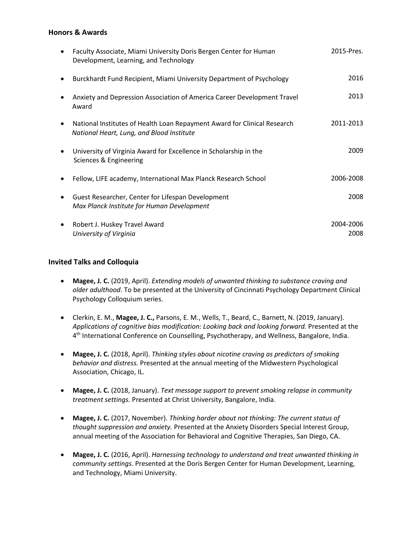### **Honors & Awards**

| Faculty Associate, Miami University Doris Bergen Center for Human<br>Development, Learning, and Technology                 | 2015-Pres.        |
|----------------------------------------------------------------------------------------------------------------------------|-------------------|
| Burckhardt Fund Recipient, Miami University Department of Psychology<br>٠                                                  | 2016              |
| Anxiety and Depression Association of America Career Development Travel<br>Award                                           | 2013              |
| National Institutes of Health Loan Repayment Award for Clinical Research<br>٠<br>National Heart, Lung, and Blood Institute | 2011-2013         |
| University of Virginia Award for Excellence in Scholarship in the<br>٠<br>Sciences & Engineering                           | 2009              |
| Fellow, LIFE academy, International Max Planck Research School<br>٠                                                        | 2006-2008         |
| Guest Researcher, Center for Lifespan Development<br>٠<br>Max Planck Institute for Human Development                       | 2008              |
| Robert J. Huskey Travel Award<br>٠<br>University of Virginia                                                               | 2004-2006<br>2008 |

### **Invited Talks and Colloquia**

- **Magee, J. C.** (2019, April). *Extending models of unwanted thinking to substance craving and older adulthood*. To be presented at the University of Cincinnati Psychology Department Clinical Psychology Colloquium series.
- Clerkin, E. M., **Magee, J. C.,** Parsons, E. M., Wells, T., Beard, C., Barnett, N. (2019, January). *Applications of cognitive bias modification: Looking back and looking forward.* Presented at the 4<sup>th</sup> International Conference on Counselling, Psychotherapy, and Wellness, Bangalore, India.
- **Magee, J. C.** (2018, April). *Thinking styles about nicotine craving as predictors of smoking behavior and distress.* Presented at the annual meeting of the Midwestern Psychological Association, Chicago, IL.
- **Magee, J. C.** (2018, January). *Text message support to prevent smoking relapse in community treatment settings.* Presented at Christ University, Bangalore, India.
- **Magee, J. C.** (2017, November). *Thinking harder about not thinking: The current status of thought suppression and anxiety.* Presented at the Anxiety Disorders Special Interest Group, annual meeting of the Association for Behavioral and Cognitive Therapies, San Diego, CA.
- **Magee, J. C.** (2016, April). *Harnessing technology to understand and treat unwanted thinking in community settings*. Presented at the Doris Bergen Center for Human Development, Learning, and Technology, Miami University.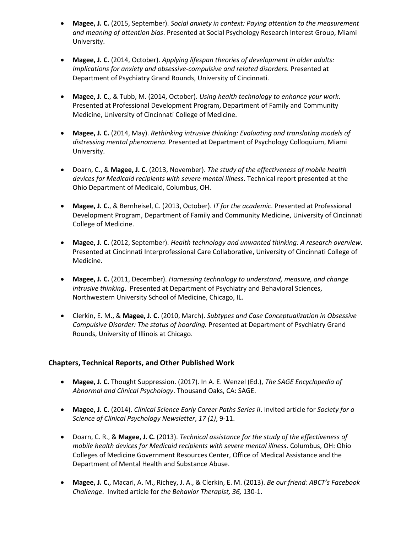- **Magee, J. C.** (2015, September). *Social anxiety in context: Paying attention to the measurement and meaning of attention bias*. Presented at Social Psychology Research Interest Group, Miami University.
- **Magee, J. C.** (2014, October). *Applying lifespan theories of development in older adults: Implications for anxiety and obsessive-compulsive and related disorders.* Presented at Department of Psychiatry Grand Rounds, University of Cincinnati.
- **Magee, J. C.**, & Tubb, M. (2014, October). *Using health technology to enhance your work*. Presented at Professional Development Program, Department of Family and Community Medicine, University of Cincinnati College of Medicine.
- **Magee, J. C.** (2014, May). *Rethinking intrusive thinking: Evaluating and translating models of distressing mental phenomena*. Presented at Department of Psychology Colloquium, Miami University.
- Doarn, C., & **Magee, J. C.** (2013, November). *The study of the effectiveness of mobile health devices for Medicaid recipients with severe mental illness*. Technical report presented at the Ohio Department of Medicaid, Columbus, OH.
- **Magee, J. C.**, & Bernheisel, C. (2013, October). *IT for the academic*. Presented at Professional Development Program, Department of Family and Community Medicine, University of Cincinnati College of Medicine.
- **Magee, J. C.** (2012, September). *Health technology and unwanted thinking: A research overview*. Presented at Cincinnati Interprofessional Care Collaborative, University of Cincinnati College of Medicine.
- **Magee, J. C.** (2011, December). *Harnessing technology to understand, measure, and change intrusive thinking*. Presented at Department of Psychiatry and Behavioral Sciences, Northwestern University School of Medicine, Chicago, IL.
- Clerkin, E. M., & **Magee, J. C.** (2010, March). *Subtypes and Case Conceptualization in Obsessive Compulsive Disorder: The status of hoarding.* Presented at Department of Psychiatry Grand Rounds, University of Illinois at Chicago.

# **Chapters, Technical Reports, and Other Published Work**

- **Magee, J. C.** Thought Suppression. (2017). In A. E. Wenzel (Ed.), *The SAGE Encyclopedia of Abnormal and Clinical Psychology*. Thousand Oaks, CA: SAGE.
- **Magee, J. C.** (2014). *Clinical Science Early Career Paths Series II*. Invited article for *Society for a Science of Clinical Psychology Newsletter*, *17 (1)*, 9-11.
- Doarn, C. R., & **Magee, J. C.** (2013). *Technical assistance for the study of the effectiveness of mobile health devices for Medicaid recipients with severe mental illness*. Columbus, OH: Ohio Colleges of Medicine Government Resources Center, Office of Medical Assistance and the Department of Mental Health and Substance Abuse.
- **Magee, J. C.**, Macari, A. M., Richey, J. A., & Clerkin, E. M. (2013). *Be our friend: ABCT's Facebook Challenge*. Invited article for *the Behavior Therapist, 36,* 130-1.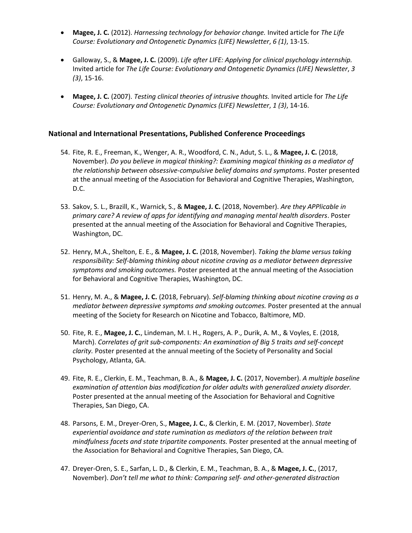- **Magee, J. C.** (2012). *Harnessing technology for behavior change.* Invited article for *The Life Course: Evolutionary and Ontogenetic Dynamics (LIFE) Newsletter*, *6 (1)*, 13-15.
- Galloway, S., & **Magee, J. C.** (2009). *Life after LIFE: Applying for clinical psychology internship.*  Invited article for *The Life Course: Evolutionary and Ontogenetic Dynamics (LIFE) Newsletter*, *3 (3)*, 15-16.
- **Magee, J. C.** (2007). *Testing clinical theories of intrusive thoughts.* Invited article for *The Life Course: Evolutionary and Ontogenetic Dynamics (LIFE) Newsletter*, *1 (3)*, 14-16.

### **National and International Presentations, Published Conference Proceedings**

- 54. Fite, R. E., Freeman, K., Wenger, A. R., Woodford, C. N., Adut, S. L., & **Magee, J. C.** (2018, November). *Do you believe in magical thinking?: Examining magical thinking as a mediator of the relationship between obsessive-compulsive belief domains and symptoms*. Poster presented at the annual meeting of the Association for Behavioral and Cognitive Therapies, Washington, D.C.
- 53. Sakov, S. L., Brazill, K., Warnick, S., & **Magee, J. C.** (2018, November). *Are they APPlicable in primary care? A review of apps for identifying and managing mental health disorders*. Poster presented at the annual meeting of the Association for Behavioral and Cognitive Therapies, Washington, DC.
- 52. Henry, M.A., Shelton, E. E., & **Magee, J. C.** (2018, November). *Taking the blame versus taking responsibility: Self-blaming thinking about nicotine craving as a mediator between depressive symptoms and smoking outcomes.* Poster presented at the annual meeting of the Association for Behavioral and Cognitive Therapies, Washington, DC.
- 51. Henry, M. A., & **Magee, J. C.** (2018, February). *Self-blaming thinking about nicotine craving as a mediator between depressive symptoms and smoking outcomes.* Poster presented at the annual meeting of the Society for Research on Nicotine and Tobacco, Baltimore, MD.
- 50. Fite, R. E., **Magee, J. C.**, Lindeman, M. I. H., Rogers, A. P., Durik, A. M., & Voyles, E. (2018, March). *Correlates of grit sub-components: An examination of Big 5 traits and self-concept clarity.* Poster presented at the annual meeting of the Society of Personality and Social Psychology, Atlanta, GA.
- 49. Fite, R. E., Clerkin, E. M., Teachman, B. A., & **Magee, J. C.** (2017, November). *A multiple baseline examination of attention bias modification for older adults with generalized anxiety disorder.* Poster presented at the annual meeting of the Association for Behavioral and Cognitive Therapies, San Diego, CA.
- 48. Parsons, E. M., Dreyer-Oren, S., **Magee, J. C.**, & Clerkin, E. M. (2017, November). *State experiential avoidance and state rumination as mediators of the relation between trait mindfulness facets and state tripartite components.* Poster presented at the annual meeting of the Association for Behavioral and Cognitive Therapies, San Diego, CA.
- 47. Dreyer-Oren, S. E., Sarfan, L. D., & Clerkin, E. M., Teachman, B. A., & **Magee, J. C.**, (2017, November). *Don't tell me what to think: Comparing self- and other-generated distraction*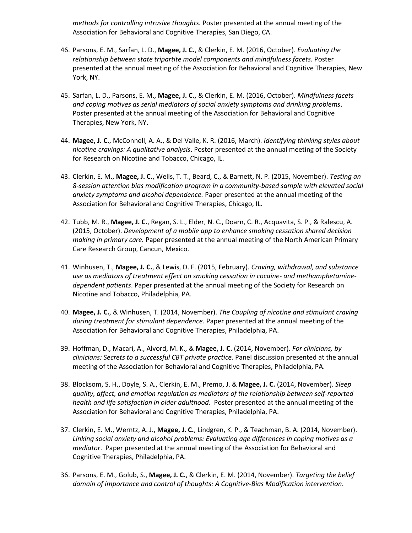*methods for controlling intrusive thoughts.* Poster presented at the annual meeting of the Association for Behavioral and Cognitive Therapies, San Diego, CA.

- 46. Parsons, E. M., Sarfan, L. D., **Magee, J. C.**, & Clerkin, E. M. (2016, October). *Evaluating the relationship between state tripartite model components and mindfulness facets.* Poster presented at the annual meeting of the Association for Behavioral and Cognitive Therapies, New York, NY.
- 45. Sarfan, L. D., Parsons, E. M., **Magee, J. C.,** & Clerkin, E. M. (2016, October). *Mindfulness facets and coping motives as serial mediators of social anxiety symptoms and drinking problems*. Poster presented at the annual meeting of the Association for Behavioral and Cognitive Therapies, New York, NY.
- 44. **Magee, J. C.**, McConnell, A. A., & Del Valle, K. R. (2016, March). *Identifying thinking styles about nicotine cravings: A qualitative analysis*. Poster presented at the annual meeting of the Society for Research on Nicotine and Tobacco, Chicago, IL.
- 43. Clerkin, E. M., **Magee, J. C.**, Wells, T. T., Beard, C., & Barnett, N. P. (2015, November). *Testing an 8-session attention bias modification program in a community-based sample with elevated social anxiety symptoms and alcohol dependence.* Paper presented at the annual meeting of the Association for Behavioral and Cognitive Therapies, Chicago, IL.
- 42. Tubb, M. R., **Magee, J. C.**, Regan, S. L., Elder, N. C., Doarn, C. R., Acquavita, S. P., & Ralescu, A. (2015, October). *Development of a mobile app to enhance smoking cessation shared decision making in primary care.* Paper presented at the annual meeting of the North American Primary Care Research Group, Cancun, Mexico.
- 41. Winhusen, T., **Magee, J. C.**, & Lewis, D. F. (2015, February). *Craving, withdrawal, and substance use as mediators of treatment effect on smoking cessation in cocaine- and methamphetaminedependent patients*. Paper presented at the annual meeting of the Society for Research on Nicotine and Tobacco, Philadelphia, PA.
- 40. **Magee, J. C.**, & Winhusen, T. (2014, November). *The Coupling of nicotine and stimulant craving during treatment for stimulant dependence*. Paper presented at the annual meeting of the Association for Behavioral and Cognitive Therapies, Philadelphia, PA.
- 39. Hoffman, D., Macari, A., Alvord, M. K., & **Magee, J. C.** (2014, November). *For clinicians, by clinicians: Secrets to a successful CBT private practice.* Panel discussion presented at the annual meeting of the Association for Behavioral and Cognitive Therapies, Philadelphia, PA.
- 38. Blocksom, S. H., Doyle, S. A., Clerkin, E. M., Premo, J. & **Magee, J. C.** (2014, November). *Sleep quality, affect, and emotion regulation as mediators of the relationship between self-reported health and life satisfaction in older adulthood*. Poster presented at the annual meeting of the Association for Behavioral and Cognitive Therapies, Philadelphia, PA.
- 37. Clerkin, E. M., Werntz, A. J., **Magee, J. C.**, Lindgren, K. P., & Teachman, B. A. (2014, November). *Linking social anxiety and alcohol problems: Evaluating age differences in coping motives as a mediator*. Paper presented at the annual meeting of the Association for Behavioral and Cognitive Therapies, Philadelphia, PA.
- 36. Parsons, E. M., Golub, S., **Magee, J. C.**, & Clerkin, E. M. (2014, November). *Targeting the belief domain of importance and control of thoughts: A Cognitive-Bias Modification intervention*.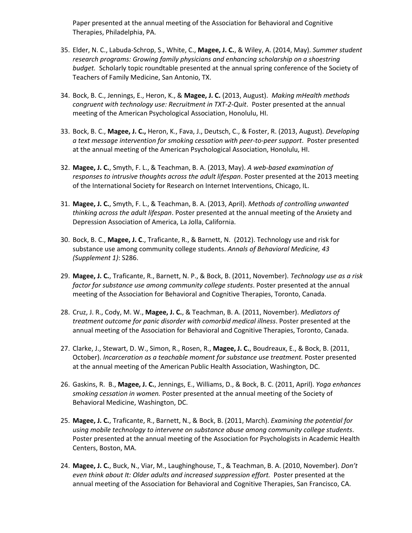Paper presented at the annual meeting of the Association for Behavioral and Cognitive Therapies, Philadelphia, PA.

- 35. Elder, N. C., Labuda-Schrop, S., White, C., **Magee, J. C.**, & Wiley, A. (2014, May). *Summer student research programs: Growing family physicians and enhancing scholarship on a shoestring budget.* Scholarly topic roundtable presented at the annual spring conference of the Society of Teachers of Family Medicine, San Antonio, TX.
- 34. Bock, B. C., Jennings, E., Heron, K., & **Magee, J. C.** (2013, August). *Making mHealth methods congruent with technology use: Recruitment in TXT-2-Quit*. Poster presented at the annual meeting of the American Psychological Association, Honolulu, HI.
- 33. Bock, B. C., **Magee, J. C.,** Heron, K., Fava, J., Deutsch, C., & Foster, R. (2013, August). *Developing a text message intervention for smoking cessation with peer-to-peer support*. Poster presented at the annual meeting of the American Psychological Association, Honolulu, HI.
- 32. **Magee, J. C.**, Smyth, F. L., & Teachman, B. A. (2013, May). *A web-based examination of responses to intrusive thoughts across the adult lifespan*. Poster presented at the 2013 meeting of the International Society for Research on Internet Interventions, Chicago, IL.
- 31. **Magee, J. C.**, Smyth, F. L., & Teachman, B. A. (2013, April). *Methods of controlling unwanted thinking across the adult lifespan*. Poster presented at the annual meeting of the Anxiety and Depression Association of America, La Jolla, California.
- 30. Bock, B. C., **Magee, J. C**., Traficante, R., & Barnett, N. (2012). Technology use and risk for substance use among community college students. *Annals of Behavioral Medicine, 43 (Supplement 1)*: S286.
- 29. **Magee, J. C.**, Traficante, R., Barnett, N. P., & Bock, B. (2011, November). *Technology use as a risk factor for substance use among community college students*. Poster presented at the annual meeting of the Association for Behavioral and Cognitive Therapies, Toronto, Canada.
- 28. Cruz, J. R., Cody, M. W., **Magee, J. C.**, & Teachman, B. A. (2011, November). *Mediators of treatment outcome for panic disorder with comorbid medical illness*. Poster presented at the annual meeting of the Association for Behavioral and Cognitive Therapies, Toronto, Canada.
- 27. Clarke, J., Stewart, D. W., Simon, R., Rosen, R., **Magee, J. C.**, Boudreaux, E., & Bock, B. (2011, October). *Incarceration as a teachable moment for substance use treatment.* Poster presented at the annual meeting of the American Public Health Association, Washington, DC.
- 26. Gaskins, R. B., **Magee, J. C.**, Jennings, E., Williams, D., & Bock, B. C. (2011, April). *Yoga enhances smoking cessation in women.* Poster presented at the annual meeting of the Society of Behavioral Medicine, Washington, DC.
- 25. **Magee, J. C.**, Traficante, R., Barnett, N., & Bock, B. (2011, March). *Examining the potential for using mobile technology to intervene on substance abuse among community college students*. Poster presented at the annual meeting of the Association for Psychologists in Academic Health Centers, Boston, MA.
- 24. **Magee, J. C.**, Buck, N., Viar, M., Laughinghouse, T., & Teachman, B. A. (2010, November). *Don't even think about It: Older adults and increased suppression effort.* Poster presented at the annual meeting of the Association for Behavioral and Cognitive Therapies, San Francisco, CA.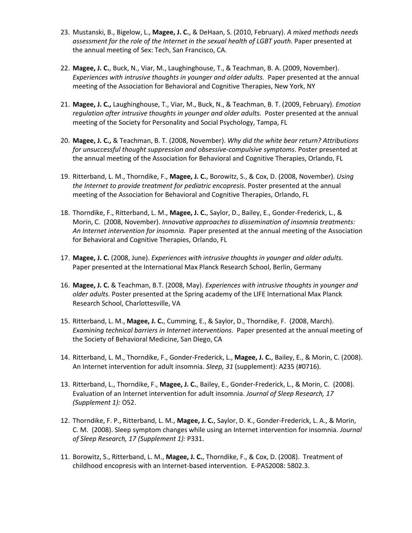- 23. Mustanski, B., Bigelow, L., **Magee, J. C.**, & DeHaan, S. (2010, February). *A mixed methods needs*  assessment for the role of the Internet in the sexual health of LGBT youth. Paper presented at the annual meeting of Sex: Tech, San Francisco, CA.
- 22. **Magee, J. C.**, Buck, N., Viar, M., Laughinghouse, T., & Teachman, B. A. (2009, November). *Experiences with intrusive thoughts in younger and older adults.* Paper presented at the annual meeting of the Association for Behavioral and Cognitive Therapies, New York, NY
- 21. **Magee, J. C.,** Laughinghouse, T., Viar, M., Buck, N., & Teachman, B. T. (2009, February). *Emotion regulation after intrusive thoughts in younger and older adults.* Poster presented at the annual meeting of the Society for Personality and Social Psychology, Tampa, FL
- 20. **Magee, J. C.,** & Teachman, B. T. (2008, November). *Why did the white bear return? Attributions for unsuccessful thought suppression and obsessive-compulsive symptoms*. Poster presented at the annual meeting of the Association for Behavioral and Cognitive Therapies, Orlando, FL
- 19. Ritterband, L. M., Thorndike, F., **Magee, J. C.**, Borowitz, S., & Cox, D. (2008, November). *Using the Internet to provide treatment for pediatric encopresis.* Poster presented at the annual meeting of the Association for Behavioral and Cognitive Therapies, Orlando, FL
- 18. Thorndike, F., Ritterband, L. M., **Magee, J. C.**, Saylor, D., Bailey, E., Gonder-Frederick, L., & Morin, C. (2008, November). *Innovative approaches to dissemination of insomnia treatments: An Internet intervention for insomnia.* Paper presented at the annual meeting of the Association for Behavioral and Cognitive Therapies, Orlando, FL
- 17. **Magee, J. C.** (2008, June). *Experiences with intrusive thoughts in younger and older adults.*  Paper presented at the International Max Planck Research School, Berlin, Germany
- 16. **Magee, J. C.** & Teachman, B.T. (2008, May). *Experiences with intrusive thoughts in younger and older adults.* Poster presented at the Spring academy of the LIFE International Max Planck Research School, Charlottesville, VA
- 15. Ritterband, L. M., **Magee, J. C.**, Cumming, E., & Saylor, D., Thorndike, F. (2008, March). *Examining technical barriers in Internet interventions*. Paper presented at the annual meeting of the Society of Behavioral Medicine, San Diego, CA
- 14. Ritterband, L. M., Thorndike, F., Gonder-Frederick, L., **Magee, J. C.**, Bailey, E., & Morin, C. (2008). An Internet intervention for adult insomnia. *Sleep, 31* (supplement): A235 (#0716).
- 13. Ritterband, L., Thorndike, F., **Magee, J. C.**, Bailey, E., Gonder-Frederick, L., & Morin, C. (2008). Evaluation of an Internet intervention for adult insomnia. *Journal of Sleep Research, 17 (Supplement 1):* O52.
- 12. Thorndike, F. P., Ritterband, L. M., **Magee, J. C.**, Saylor, D. K., Gonder-Frederick, L. A., & Morin, C. M. (2008). Sleep symptom changes while using an Internet intervention for insomnia. *Journal of Sleep Research, 17 (Supplement 1):* P331.
- 11. Borowitz, S., Ritterband, L. M., **Magee, J. C.**, Thorndike, F., & Cox, D. (2008). Treatment of childhood encopresis with an Internet-based intervention. E-PAS2008: 5802.3.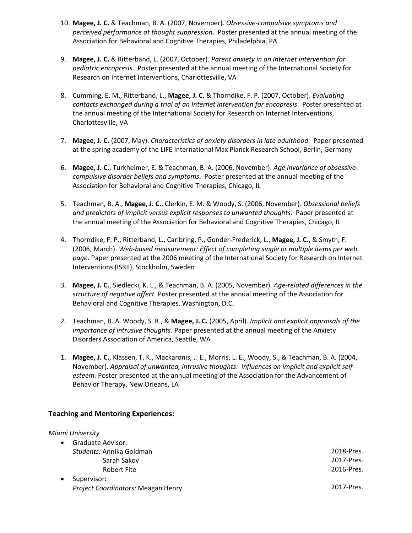- 10. **Magee, J. C.** & Teachman, B. A. (2007, November). *Obsessive-compulsive symptoms and perceived performance at thought suppression*. Poster presented at the annual meeting of the Association for Behavioral and Cognitive Therapies, Philadelphia, PA
- 9. **Magee, J. C.** & Ritterband, L. (2007, October). *Parent anxiety in an Internet intervention for pediatric encopresis*. Poster presented at the annual meeting of the International Society for Research on Internet Interventions, Charlottesville, VA
- 8. Cumming, E. M., Ritterband, L., **Magee, J. C.** & Thorndike, F. P. (2007, October). *Evaluating contacts exchanged during a trial of an Internet intervention for encopresis*. Poster presented at the annual meeting of the International Society for Research on Internet Interventions, Charlottesville, VA
- 7. **Magee, J. C.** (2007, May). *Characteristics of anxiety disorders in late adulthood*. Paper presented at the spring academy of the LIFE International Max Planck Research School, Berlin, Germany
- 6. **Magee, J. C.**, Turkheimer, E. & Teachman, B. A. (2006, November). *Age invariance of obsessivecompulsive disorder beliefs and symptoms*. Poster presented at the annual meeting of the Association for Behavioral and Cognitive Therapies, Chicago, IL
- 5. Teachman, B. A., **Magee, J. C.**, Clerkin, E. M. & Woody, S. (2006, November). *Obsessional beliefs and predictors of implicit versus explicit responses to unwanted thoughts.* Paper presented at the annual meeting of the Association for Behavioral and Cognitive Therapies, Chicago, IL
- 4. Thorndike, F. P., Ritterband, L., Carlbring, P., Gonder-Frederick, L., **Magee, J. C.**, & Smyth, F. (2006, March). *Web-based measurement: Effect of completing single or multiple items per web page*. Paper presented at the 2006 meeting of the International Society for Research on Internet Interventions (ISRII), Stockholm, Sweden
- 3. **Magee, J. C.**, Siedlecki, K. L., & Teachman, B. A. (2005, November). *Age-related differences in the structure of negative affect*. Poster presented at the annual meeting of the Association for Behavioral and Cognitive Therapies, Washington, D.C.
- 2. Teachman, B. A. Woody, S. R., & **Magee, J. C.** (2005, April). *Implicit and explicit appraisals of the importance of intrusive thoughts*. Paper presented at the annual meeting of the Anxiety Disorders Association of America, Seattle, WA
- 1. **Magee, J. C.**, Klassen, T. K., Mackaronis, J. E., Morris, L. E., Woody, S., & Teachman, B. A. (2004, November). *Appraisal of unwanted, intrusive thoughts: influences on implicit and explicit selfesteem.* Poster presented at the annual meeting of the Association for the Advancement of Behavior Therapy, New Orleans, LA

# **Teaching and Mentoring Experiences:**

#### *Miami University*

|           | • Graduate Advisor:                |            |
|-----------|------------------------------------|------------|
|           | Students: Annika Goldman           | 2018-Pres. |
|           | Sarah Sakov                        | 2017-Pres. |
|           | Robert Fite                        | 2016-Pres. |
| $\bullet$ | Supervisor:                        |            |
|           | Project Coordinators: Meagan Henry | 2017-Pres. |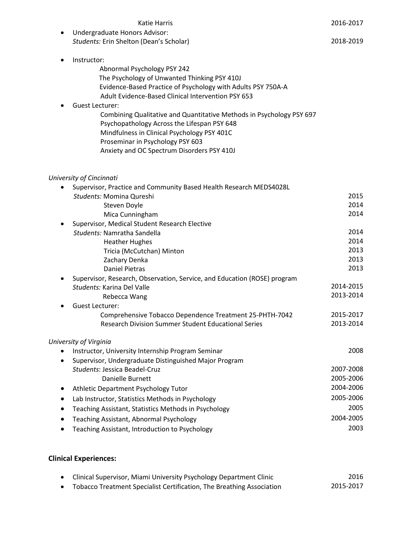| <b>Katie Harris</b>                                                                                                                                                                                                                                  | 2016-2017 |
|------------------------------------------------------------------------------------------------------------------------------------------------------------------------------------------------------------------------------------------------------|-----------|
| Undergraduate Honors Advisor:<br>Students: Erin Shelton (Dean's Scholar)                                                                                                                                                                             | 2018-2019 |
| Instructor:                                                                                                                                                                                                                                          |           |
| Abnormal Psychology PSY 242<br>The Psychology of Unwanted Thinking PSY 410J<br>Evidence-Based Practice of Psychology with Adults PSY 750A-A<br>Adult Evidence-Based Clinical Intervention PSY 653                                                    |           |
| <b>Guest Lecturer:</b>                                                                                                                                                                                                                               |           |
| Combining Qualitative and Quantitative Methods in Psychology PSY 697<br>Psychopathology Across the Lifespan PSY 648<br>Mindfulness in Clinical Psychology PSY 401C<br>Proseminar in Psychology PSY 603<br>Anxiety and OC Spectrum Disorders PSY 410J |           |
|                                                                                                                                                                                                                                                      |           |
| University of Cincinnati                                                                                                                                                                                                                             |           |
| Supervisor, Practice and Community Based Health Research MEDS4028L                                                                                                                                                                                   |           |
| Students: Momina Qureshi                                                                                                                                                                                                                             | 2015      |
| Steven Doyle                                                                                                                                                                                                                                         | 2014      |
| Mica Cunningham                                                                                                                                                                                                                                      | 2014      |
| Supervisor, Medical Student Research Elective                                                                                                                                                                                                        |           |
| Students: Namratha Sandella                                                                                                                                                                                                                          | 2014      |
| <b>Heather Hughes</b>                                                                                                                                                                                                                                | 2014      |
| Tricia (McCutchan) Minton                                                                                                                                                                                                                            | 2013      |
| Zachary Denka                                                                                                                                                                                                                                        | 2013      |
| <b>Daniel Pietras</b>                                                                                                                                                                                                                                | 2013      |
| Supervisor, Research, Observation, Service, and Education (ROSE) program                                                                                                                                                                             |           |
| Students: Karina Del Valle                                                                                                                                                                                                                           | 2014-2015 |
| Rebecca Wang                                                                                                                                                                                                                                         | 2013-2014 |
| <b>Guest Lecturer:</b>                                                                                                                                                                                                                               |           |
| Comprehensive Tobacco Dependence Treatment 25-PHTH-7042                                                                                                                                                                                              | 2015-2017 |
| <b>Research Division Summer Student Educational Series</b>                                                                                                                                                                                           | 2013-2014 |
| University of Virginia                                                                                                                                                                                                                               |           |
| Instructor, University Internship Program Seminar                                                                                                                                                                                                    | 2008      |
| Supervisor, Undergraduate Distinguished Major Program                                                                                                                                                                                                |           |
| Students: Jessica Beadel-Cruz                                                                                                                                                                                                                        | 2007-2008 |
| Danielle Burnett                                                                                                                                                                                                                                     | 2005-2006 |
| Athletic Department Psychology Tutor                                                                                                                                                                                                                 | 2004-2006 |
| Lab Instructor, Statistics Methods in Psychology                                                                                                                                                                                                     | 2005-2006 |
| Teaching Assistant, Statistics Methods in Psychology                                                                                                                                                                                                 | 2005      |
| Teaching Assistant, Abnormal Psychology                                                                                                                                                                                                              | 2004-2005 |
| Teaching Assistant, Introduction to Psychology                                                                                                                                                                                                       | 2003      |

# **Clinical Experiences:**

| Clinical Supervisor, Miami University Psychology Department Clinic    | 2016      |
|-----------------------------------------------------------------------|-----------|
| Tobacco Treatment Specialist Certification, The Breathing Association | 2015-2017 |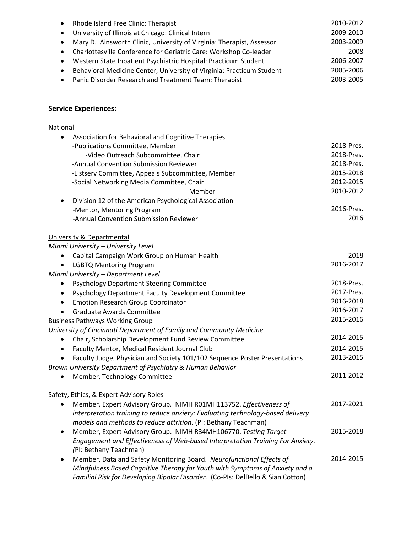| $\bullet$ | Rhode Island Free Clinic: Therapist                                   | 2010-2012 |
|-----------|-----------------------------------------------------------------------|-----------|
| $\bullet$ | University of Illinois at Chicago: Clinical Intern                    | 2009-2010 |
| $\bullet$ | Mary D. Ainsworth Clinic, University of Virginia: Therapist, Assessor | 2003-2009 |
| $\bullet$ | Charlottesville Conference for Geriatric Care: Workshop Co-leader     | 2008      |
| $\bullet$ | Western State Inpatient Psychiatric Hospital: Practicum Student       | 2006-2007 |
| $\bullet$ | Behavioral Medicine Center, University of Virginia: Practicum Student | 2005-2006 |
|           | • Panic Disorder Research and Treatment Team: Therapist               | 2003-2005 |

### **Service Experiences:**

#### National Association for Behavioral and Cognitive Therapies -Publications Committee, Member -Video Outreach Subcommittee, Chair -Annual Convention Submission Reviewer -Listserv Committee, Appeals Subcommittee, Member -Social Networking Media Committee, Chair Member Division 12 of the American Psychological Association -Mentor, Mentoring Program -Annual Convention Submission Reviewer 2018-Pres. 2018-Pres. 2018-Pres. 2015-2018 2012-2015 2010-2012 2016-Pres. 2016 University & Departmental *Miami University – University Level* Capital Campaign Work Group on Human Health LGBTQ Mentoring Program 2018 2016-2017 *Miami University – Department Level* Psychology Department Steering Committee Psychology Department Faculty Development Committee **•** Emotion Research Group Coordinator Graduate Awards Committee Business Pathways Working Group *University of Cincinnati Department of Family and Community Medicine* Chair, Scholarship Development Fund Review Committee 2018-Pres. 2017-Pres. 2016-2018 2016-2017 2015-2016 2014-2015 Faculty Mentor, Medical Resident Journal Club Faculty Judge, Physician and Society 101/102 Sequence Poster Presentations *Brown University Department of Psychiatry & Human Behavior* Member, Technology Committee 2014-2015 2013-2015 2011-2012 Safety, Ethics, & Expert Advisory Roles Member, Expert Advisory Group. NIMH R01MH113752. *Effectiveness of interpretation training to reduce anxiety: Evaluating technology-based delivery models and methods to reduce attrition*. (PI: Bethany Teachman) 2017-2021 Member, Expert Advisory Group. NIMH R34MH106770. *Testing Target Engagement and Effectiveness of Web-based Interpretation Training For Anxiety. (*PI: Bethany Teachman) 2015-2018 Member, Data and Safety Monitoring Board. *Neurofunctional Effects of Mindfulness Based Cognitive Therapy for Youth with Symptoms of Anxiety and a Familial Risk for Developing Bipolar Disorder.* (Co-PIs: DelBello & Sian Cotton) 2014-2015